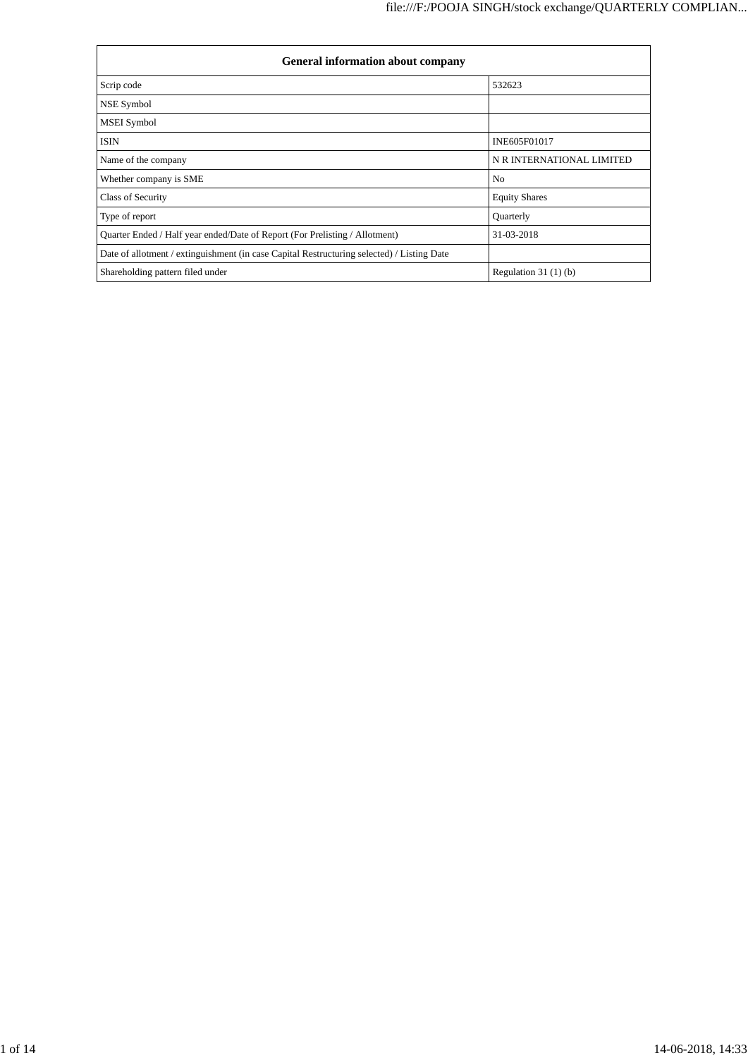| <b>General information about company</b>                                                   |                           |  |  |  |  |  |
|--------------------------------------------------------------------------------------------|---------------------------|--|--|--|--|--|
| Scrip code                                                                                 | 532623                    |  |  |  |  |  |
| NSE Symbol                                                                                 |                           |  |  |  |  |  |
| <b>MSEI</b> Symbol                                                                         |                           |  |  |  |  |  |
| <b>ISIN</b>                                                                                | INE605F01017              |  |  |  |  |  |
| Name of the company                                                                        | N R INTERNATIONAL LIMITED |  |  |  |  |  |
| Whether company is SME                                                                     | N <sub>0</sub>            |  |  |  |  |  |
| Class of Security                                                                          | <b>Equity Shares</b>      |  |  |  |  |  |
| Type of report                                                                             | Quarterly                 |  |  |  |  |  |
| Quarter Ended / Half year ended/Date of Report (For Prelisting / Allotment)                | 31-03-2018                |  |  |  |  |  |
| Date of allotment / extinguishment (in case Capital Restructuring selected) / Listing Date |                           |  |  |  |  |  |
| Shareholding pattern filed under                                                           | Regulation $31(1)(b)$     |  |  |  |  |  |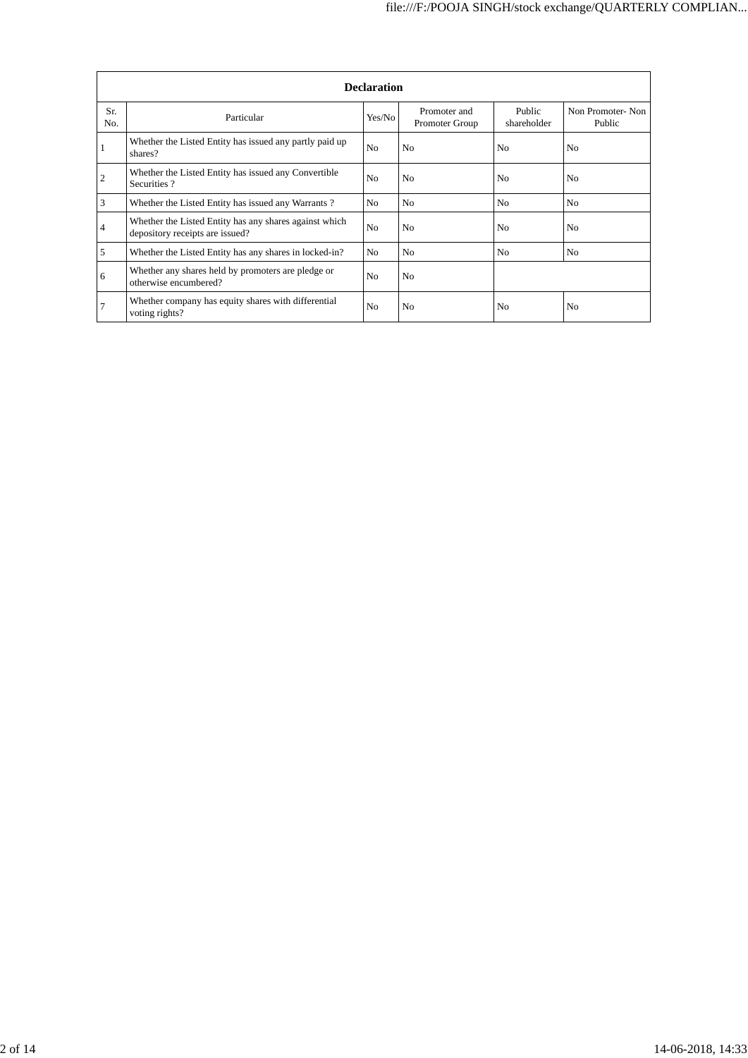|            | <b>Declaration</b>                                                                        |                |                                |                       |                            |  |  |  |  |
|------------|-------------------------------------------------------------------------------------------|----------------|--------------------------------|-----------------------|----------------------------|--|--|--|--|
| Sr.<br>No. | Particular                                                                                | Yes/No         | Promoter and<br>Promoter Group | Public<br>shareholder | Non Promoter-Non<br>Public |  |  |  |  |
|            | Whether the Listed Entity has issued any partly paid up<br>shares?                        | N <sub>0</sub> | N <sub>0</sub>                 | N <sub>0</sub>        | N <sub>0</sub>             |  |  |  |  |
| 2          | Whether the Listed Entity has issued any Convertible<br>Securities?                       | N <sub>0</sub> | N <sub>0</sub>                 | N <sub>0</sub>        | N <sub>0</sub>             |  |  |  |  |
| 3          | Whether the Listed Entity has issued any Warrants?                                        | No             | N <sub>0</sub>                 | N <sub>0</sub>        | N <sub>0</sub>             |  |  |  |  |
| 4          | Whether the Listed Entity has any shares against which<br>depository receipts are issued? | N <sub>0</sub> | N <sub>0</sub>                 | N <sub>0</sub>        | N <sub>0</sub>             |  |  |  |  |
| 5          | Whether the Listed Entity has any shares in locked-in?                                    | No.            | N <sub>0</sub>                 | No                    | N <sub>0</sub>             |  |  |  |  |
| 6          | Whether any shares held by promoters are pledge or<br>otherwise encumbered?               | N <sub>0</sub> | N <sub>0</sub>                 |                       |                            |  |  |  |  |
| 7          | Whether company has equity shares with differential<br>voting rights?                     | N <sub>0</sub> | N <sub>0</sub>                 | N <sub>0</sub>        | No                         |  |  |  |  |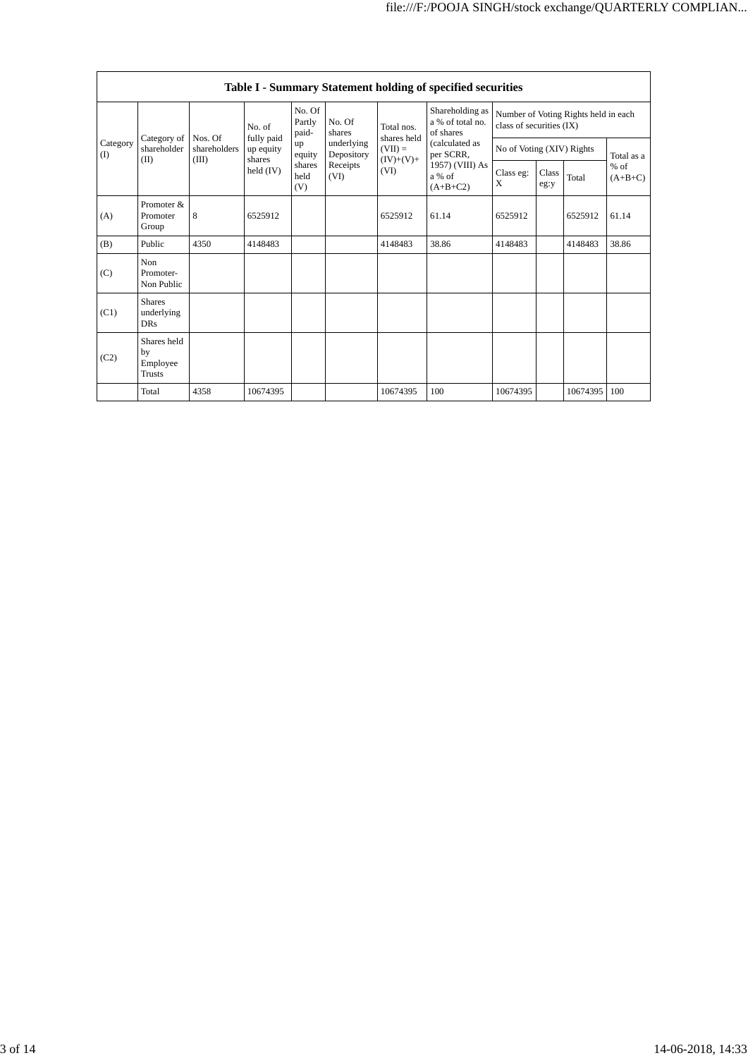|                         | Table I - Summary Statement holding of specified securities |                         |                                   |                           |                          |                                                               |                                                                                                                            |                                                                  |               |          |                     |
|-------------------------|-------------------------------------------------------------|-------------------------|-----------------------------------|---------------------------|--------------------------|---------------------------------------------------------------|----------------------------------------------------------------------------------------------------------------------------|------------------------------------------------------------------|---------------|----------|---------------------|
| Category<br>(I)<br>(II) |                                                             |                         | No. of                            | No. Of<br>Partly<br>paid- | No. Of<br>shares         | Total nos.<br>shares held<br>$(VII) =$<br>$(IV)+(V)+$<br>(VI) | Shareholding as<br>a % of total no.<br>of shares<br>(calculated as<br>per SCRR,<br>1957) (VIII) As<br>a % of<br>$(A+B+C2)$ | Number of Voting Rights held in each<br>class of securities (IX) |               |          |                     |
|                         | Category of<br>shareholder                                  | Nos. Of<br>shareholders | fully paid<br>up equity<br>shares | up<br>equity              | underlying<br>Depository |                                                               |                                                                                                                            | No of Voting (XIV) Rights                                        |               |          | Total as a          |
|                         |                                                             | (III)                   | held $(IV)$                       | shares<br>held<br>(V)     | Receipts<br>(VI)         |                                                               |                                                                                                                            | Class eg:<br>X                                                   | Class<br>eg:y | Total    | $%$ of<br>$(A+B+C)$ |
| (A)                     | Promoter &<br>Promoter<br>Group                             | 8                       | 6525912                           |                           |                          | 6525912                                                       | 61.14                                                                                                                      | 6525912                                                          |               | 6525912  | 61.14               |
| (B)                     | Public                                                      | 4350                    | 4148483                           |                           |                          | 4148483                                                       | 38.86                                                                                                                      | 4148483                                                          |               | 4148483  | 38.86               |
| (C)                     | <b>Non</b><br>Promoter-<br>Non Public                       |                         |                                   |                           |                          |                                                               |                                                                                                                            |                                                                  |               |          |                     |
| (C1)                    | <b>Shares</b><br>underlying<br><b>DRs</b>                   |                         |                                   |                           |                          |                                                               |                                                                                                                            |                                                                  |               |          |                     |
| (C2)                    | Shares held<br>by<br>Employee<br>Trusts                     |                         |                                   |                           |                          |                                                               |                                                                                                                            |                                                                  |               |          |                     |
|                         | Total                                                       | 4358                    | 10674395                          |                           |                          | 10674395                                                      | 100                                                                                                                        | 10674395                                                         |               | 10674395 | 100                 |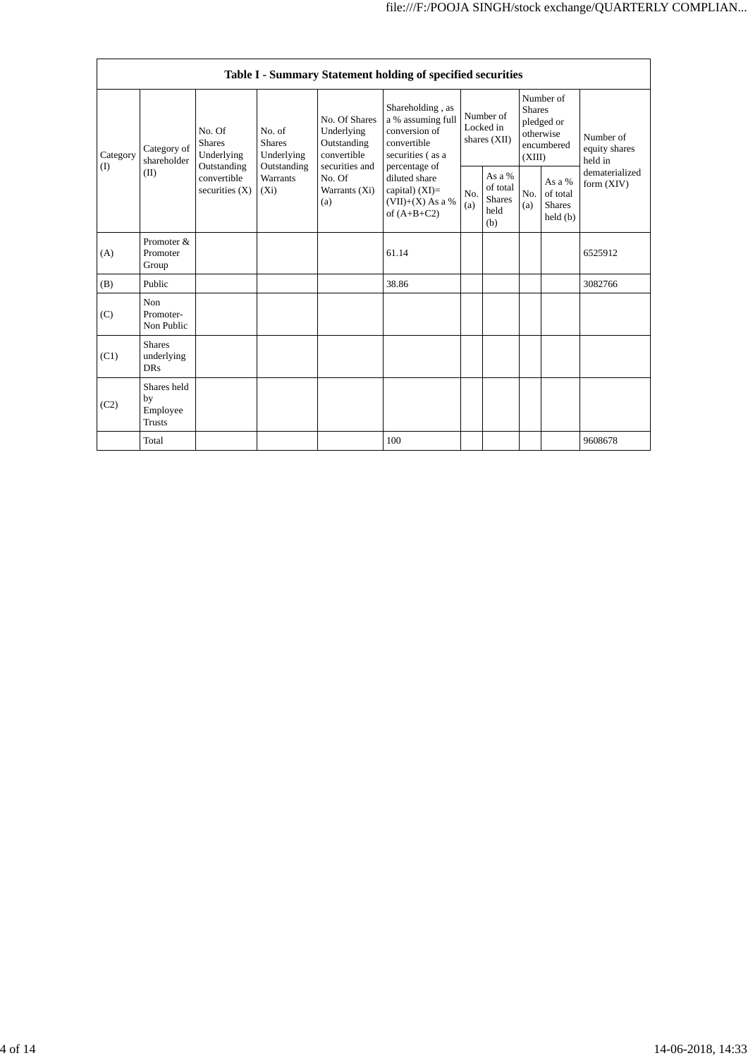| Table I - Summary Statement holding of specified securities |                                                |                                                                                                                                                                 |            |                                                                                                               |                                                                                                                                                                                        |                                        |                                                    |                                                                               |                                                |                                       |
|-------------------------------------------------------------|------------------------------------------------|-----------------------------------------------------------------------------------------------------------------------------------------------------------------|------------|---------------------------------------------------------------------------------------------------------------|----------------------------------------------------------------------------------------------------------------------------------------------------------------------------------------|----------------------------------------|----------------------------------------------------|-------------------------------------------------------------------------------|------------------------------------------------|---------------------------------------|
| Category<br>(I)                                             | Category of<br>shareholder<br>(II)             | No. Of<br>No. of<br><b>Shares</b><br><b>Shares</b><br>Underlying<br>Outstanding<br>Outstanding<br><b>Warrants</b><br>convertible<br>securities $(X)$<br>$(X_i)$ | Underlying | No. Of Shares<br>Underlying<br>Outstanding<br>convertible<br>securities and<br>No. Of<br>Warrants (Xi)<br>(a) | Shareholding, as<br>a % assuming full<br>conversion of<br>convertible<br>securities (as a<br>percentage of<br>diluted share<br>capital) $(XI)=$<br>$(VII)+(X)$ As a %<br>of $(A+B+C2)$ | Number of<br>Locked in<br>shares (XII) |                                                    | Number of<br><b>Shares</b><br>pledged or<br>otherwise<br>encumbered<br>(XIII) |                                                | Number of<br>equity shares<br>held in |
|                                                             |                                                |                                                                                                                                                                 |            |                                                                                                               |                                                                                                                                                                                        | No.<br>(a)                             | As a %<br>of total<br><b>Shares</b><br>held<br>(b) | No.<br>(a)                                                                    | As a %<br>of total<br><b>Shares</b><br>held(b) | dematerialized<br>form $(XIV)$        |
| (A)                                                         | Promoter &<br>Promoter<br>Group                |                                                                                                                                                                 |            |                                                                                                               | 61.14                                                                                                                                                                                  |                                        |                                                    |                                                                               |                                                | 6525912                               |
| (B)                                                         | Public                                         |                                                                                                                                                                 |            |                                                                                                               | 38.86                                                                                                                                                                                  |                                        |                                                    |                                                                               |                                                | 3082766                               |
| (C)                                                         | Non<br>Promoter-<br>Non Public                 |                                                                                                                                                                 |            |                                                                                                               |                                                                                                                                                                                        |                                        |                                                    |                                                                               |                                                |                                       |
| (C1)                                                        | <b>Shares</b><br>underlying<br><b>DRs</b>      |                                                                                                                                                                 |            |                                                                                                               |                                                                                                                                                                                        |                                        |                                                    |                                                                               |                                                |                                       |
| (C2)                                                        | Shares held<br>by<br>Employee<br><b>Trusts</b> |                                                                                                                                                                 |            |                                                                                                               |                                                                                                                                                                                        |                                        |                                                    |                                                                               |                                                |                                       |
|                                                             | Total                                          |                                                                                                                                                                 |            |                                                                                                               | 100                                                                                                                                                                                    |                                        |                                                    |                                                                               |                                                | 9608678                               |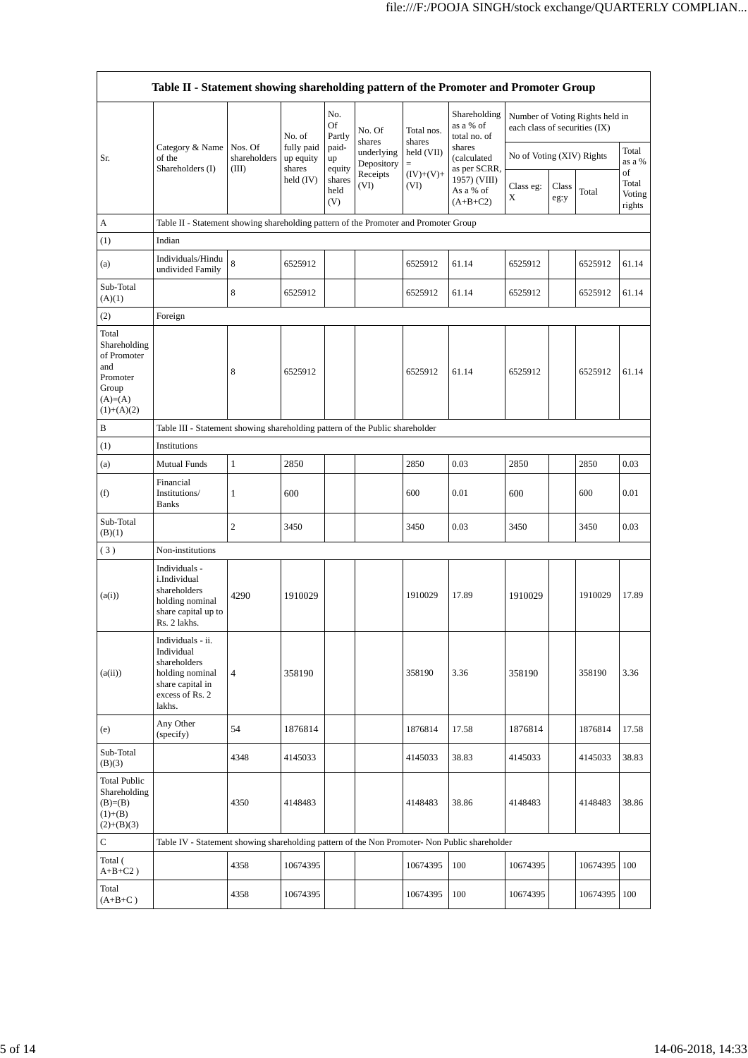|                                                                                               | Table II - Statement showing shareholding pattern of the Promoter and Promoter Group                                |                                  |                                                            |                       |                          |                      |                                           |                               |               |                                 |                                 |
|-----------------------------------------------------------------------------------------------|---------------------------------------------------------------------------------------------------------------------|----------------------------------|------------------------------------------------------------|-----------------------|--------------------------|----------------------|-------------------------------------------|-------------------------------|---------------|---------------------------------|---------------------------------|
|                                                                                               |                                                                                                                     |                                  | No. of<br>fully paid<br>up equity<br>shares<br>held $(IV)$ | No.<br>Of<br>Partly   | No. Of<br>shares         | Total nos.<br>shares | Shareholding<br>as a % of<br>total no. of | each class of securities (IX) |               | Number of Voting Rights held in |                                 |
| Sr.                                                                                           | Category & Name<br>of the<br>Shareholders (I)                                                                       | Nos. Of<br>shareholders<br>(III) |                                                            | paid-<br>up<br>equity | underlying<br>Depository | held (VII)<br>$=$    | shares<br>(calculated<br>as per SCRR,     | No of Voting (XIV) Rights     |               |                                 | Total<br>as a %                 |
|                                                                                               |                                                                                                                     |                                  |                                                            | shares<br>held<br>(V) | Receipts<br>(VI)         | $(IV)+(V)+$<br>(VI)  | 1957) (VIII)<br>As a % of<br>$(A+B+C2)$   | Class eg:<br>X                | Class<br>eg:y | Total                           | of<br>Total<br>Voting<br>rights |
| A                                                                                             | Table II - Statement showing shareholding pattern of the Promoter and Promoter Group                                |                                  |                                                            |                       |                          |                      |                                           |                               |               |                                 |                                 |
| (1)                                                                                           | Indian                                                                                                              |                                  |                                                            |                       |                          |                      |                                           |                               |               |                                 |                                 |
| (a)                                                                                           | Individuals/Hindu<br>undivided Family                                                                               | 8                                | 6525912                                                    |                       |                          | 6525912              | 61.14                                     | 6525912                       |               | 6525912                         | 61.14                           |
| Sub-Total<br>(A)(1)                                                                           |                                                                                                                     | 8                                | 6525912                                                    |                       |                          | 6525912              | 61.14                                     | 6525912                       |               | 6525912                         | 61.14                           |
| (2)                                                                                           | Foreign                                                                                                             |                                  |                                                            |                       |                          |                      |                                           |                               |               |                                 |                                 |
| Total<br>Shareholding<br>of Promoter<br>and<br>Promoter<br>Group<br>$(A)=(A)$<br>$(1)+(A)(2)$ |                                                                                                                     | 8                                | 6525912                                                    |                       |                          | 6525912              | 61.14                                     | 6525912                       |               | 6525912                         | 61.14                           |
| B                                                                                             | Table III - Statement showing shareholding pattern of the Public shareholder                                        |                                  |                                                            |                       |                          |                      |                                           |                               |               |                                 |                                 |
| (1)                                                                                           | Institutions                                                                                                        |                                  |                                                            |                       |                          |                      |                                           |                               |               |                                 |                                 |
| (a)                                                                                           | <b>Mutual Funds</b>                                                                                                 | $\mathbf{1}$                     | 2850                                                       |                       |                          | 2850                 | 0.03                                      | 2850                          |               | 2850                            | 0.03                            |
| (f)                                                                                           | Financial<br>Institutions/<br><b>Banks</b>                                                                          | 1                                | 600                                                        |                       |                          | 600                  | 0.01                                      | 600                           |               | 600                             | 0.01                            |
| Sub-Total<br>(B)(1)                                                                           |                                                                                                                     | 2                                | 3450                                                       |                       |                          | 3450                 | 0.03                                      | 3450                          |               | 3450                            | 0.03                            |
| (3)                                                                                           | Non-institutions                                                                                                    |                                  |                                                            |                       |                          |                      |                                           |                               |               |                                 |                                 |
| (a(i))                                                                                        | Individuals -<br>i.Individual<br>shareholders<br>holding nominal<br>share capital up to<br>Rs. 2 lakhs.             | 4290                             | 1910029                                                    |                       |                          | 1910029              | 17.89                                     | 1910029                       |               | 1910029                         | 17.89                           |
| (a(ii))                                                                                       | Individuals - ii.<br>Individual<br>shareholders<br>holding nominal<br>share capital in<br>excess of Rs. 2<br>lakhs. | $\overline{\mathbf{4}}$          | 358190                                                     |                       |                          | 358190               | 3.36                                      | 358190                        |               | 358190                          | 3.36                            |
| (e)                                                                                           | Any Other<br>(specify)                                                                                              | 54                               | 1876814                                                    |                       |                          | 1876814              | 17.58                                     | 1876814                       |               | 1876814                         | 17.58                           |
| Sub-Total<br>(B)(3)                                                                           |                                                                                                                     | 4348                             | 4145033                                                    |                       |                          | 4145033              | 38.83                                     | 4145033                       |               | 4145033                         | 38.83                           |
| Total Public<br>Shareholding<br>$(B)= (B)$<br>$(1)+(B)$<br>$(2)+(B)(3)$                       |                                                                                                                     | 4350                             | 4148483                                                    |                       |                          | 4148483              | 38.86                                     | 4148483                       |               | 4148483                         | 38.86                           |
| $\mathsf{C}$                                                                                  | Table IV - Statement showing shareholding pattern of the Non Promoter- Non Public shareholder                       |                                  |                                                            |                       |                          |                      |                                           |                               |               |                                 |                                 |
| Total (<br>$A+B+C2$ )                                                                         |                                                                                                                     | 4358                             | 10674395                                                   |                       |                          | 10674395             | 100                                       | 10674395                      |               | 10674395                        | 100                             |
| Total<br>$(A+B+C)$                                                                            |                                                                                                                     | 4358                             | 10674395                                                   |                       |                          | 10674395             | 100                                       | 10674395                      |               | 10674395                        | 100                             |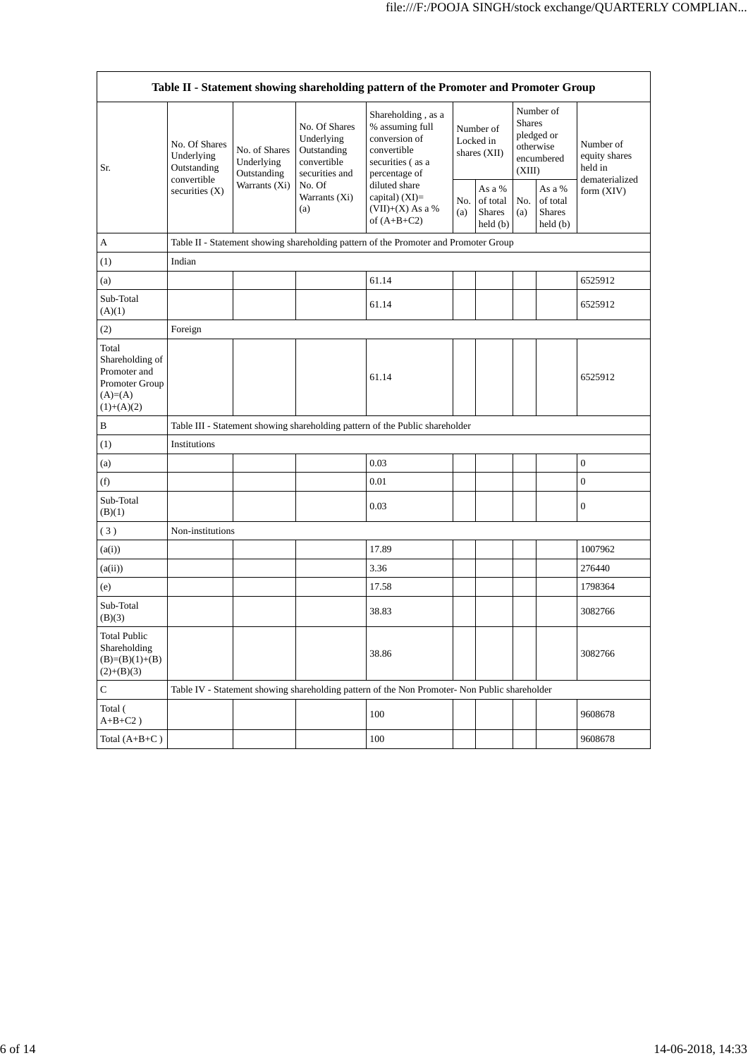| Table II - Statement showing shareholding pattern of the Promoter and Promoter Group     |                                            |                                                                      |                                                                             |                                                                                                                                                                                        |                                          |                                                         |                                                                               |                                                                |                                                         |
|------------------------------------------------------------------------------------------|--------------------------------------------|----------------------------------------------------------------------|-----------------------------------------------------------------------------|----------------------------------------------------------------------------------------------------------------------------------------------------------------------------------------|------------------------------------------|---------------------------------------------------------|-------------------------------------------------------------------------------|----------------------------------------------------------------|---------------------------------------------------------|
| Sr.                                                                                      | No. Of Shares<br>Underlying<br>Outstanding | No. of Shares<br>Underlying<br>Outstanding<br>Warrants $(Xi)$<br>(a) | No. Of Shares<br>Underlying<br>Outstanding<br>convertible<br>securities and | Shareholding, as a<br>% assuming full<br>conversion of<br>convertible<br>securities (as a<br>percentage of<br>diluted share<br>capital) $(XI)=$<br>$(VII)+(X)$ As a %<br>of $(A+B+C2)$ | Number of<br>Locked in<br>shares $(XII)$ |                                                         | Number of<br><b>Shares</b><br>pledged or<br>otherwise<br>encumbered<br>(XIII) |                                                                | Number of<br>equity shares<br>held in<br>dematerialized |
|                                                                                          | convertible<br>securities (X)              |                                                                      | No. Of<br>Warrants (Xi)                                                     |                                                                                                                                                                                        | No.<br>(a)                               | As a %<br>of total<br>Shares<br>$\text{held}(\text{b})$ | No.<br>(a)                                                                    | As a %<br>of total<br><b>Shares</b><br>$\text{held}(\text{b})$ | form (XIV)                                              |
| A                                                                                        |                                            |                                                                      |                                                                             | Table II - Statement showing shareholding pattern of the Promoter and Promoter Group                                                                                                   |                                          |                                                         |                                                                               |                                                                |                                                         |
| (1)                                                                                      | Indian                                     |                                                                      |                                                                             |                                                                                                                                                                                        |                                          |                                                         |                                                                               |                                                                |                                                         |
| (a)                                                                                      |                                            |                                                                      |                                                                             | 61.14                                                                                                                                                                                  |                                          |                                                         |                                                                               |                                                                | 6525912                                                 |
| Sub-Total<br>(A)(1)                                                                      |                                            |                                                                      |                                                                             | 61.14                                                                                                                                                                                  |                                          |                                                         |                                                                               |                                                                | 6525912                                                 |
| (2)                                                                                      | Foreign                                    |                                                                      |                                                                             |                                                                                                                                                                                        |                                          |                                                         |                                                                               |                                                                |                                                         |
| Total<br>Shareholding of<br>Promoter and<br>Promoter Group<br>$(A)= (A)$<br>$(1)+(A)(2)$ |                                            |                                                                      |                                                                             | 61.14                                                                                                                                                                                  |                                          |                                                         |                                                                               |                                                                | 6525912                                                 |
| B                                                                                        |                                            |                                                                      |                                                                             | Table III - Statement showing shareholding pattern of the Public shareholder                                                                                                           |                                          |                                                         |                                                                               |                                                                |                                                         |
| (1)                                                                                      | Institutions                               |                                                                      |                                                                             |                                                                                                                                                                                        |                                          |                                                         |                                                                               |                                                                |                                                         |
| (a)                                                                                      |                                            |                                                                      |                                                                             | 0.03                                                                                                                                                                                   |                                          |                                                         |                                                                               |                                                                | $\boldsymbol{0}$                                        |
| (f)                                                                                      |                                            |                                                                      |                                                                             | 0.01                                                                                                                                                                                   |                                          |                                                         |                                                                               |                                                                | $\boldsymbol{0}$                                        |
| Sub-Total<br>(B)(1)                                                                      |                                            |                                                                      |                                                                             | 0.03                                                                                                                                                                                   |                                          |                                                         |                                                                               |                                                                | $\boldsymbol{0}$                                        |
| (3)                                                                                      | Non-institutions                           |                                                                      |                                                                             |                                                                                                                                                                                        |                                          |                                                         |                                                                               |                                                                |                                                         |
| (a(i))                                                                                   |                                            |                                                                      |                                                                             | 17.89                                                                                                                                                                                  |                                          |                                                         |                                                                               |                                                                | 1007962                                                 |
| (a(ii))                                                                                  |                                            |                                                                      |                                                                             | 3.36                                                                                                                                                                                   |                                          |                                                         |                                                                               |                                                                | 276440                                                  |
| (e)                                                                                      |                                            |                                                                      |                                                                             | 17.58                                                                                                                                                                                  |                                          |                                                         |                                                                               |                                                                | 1798364                                                 |
| Sub-Total<br>(B)(3)                                                                      |                                            |                                                                      |                                                                             | 38.83                                                                                                                                                                                  |                                          |                                                         |                                                                               |                                                                | 3082766                                                 |
| <b>Total Public</b><br>Shareholding<br>$(B)=(B)(1)+(B)$<br>$(2)+(B)(3)$                  |                                            |                                                                      |                                                                             | 38.86                                                                                                                                                                                  |                                          |                                                         |                                                                               |                                                                | 3082766                                                 |
| C                                                                                        |                                            |                                                                      |                                                                             | Table IV - Statement showing shareholding pattern of the Non Promoter- Non Public shareholder                                                                                          |                                          |                                                         |                                                                               |                                                                |                                                         |
| Total (<br>$A+B+C2$ )                                                                    |                                            |                                                                      |                                                                             | 100                                                                                                                                                                                    |                                          |                                                         |                                                                               |                                                                | 9608678                                                 |
| Total $(A+B+C)$                                                                          |                                            |                                                                      |                                                                             | 100                                                                                                                                                                                    |                                          |                                                         |                                                                               |                                                                | 9608678                                                 |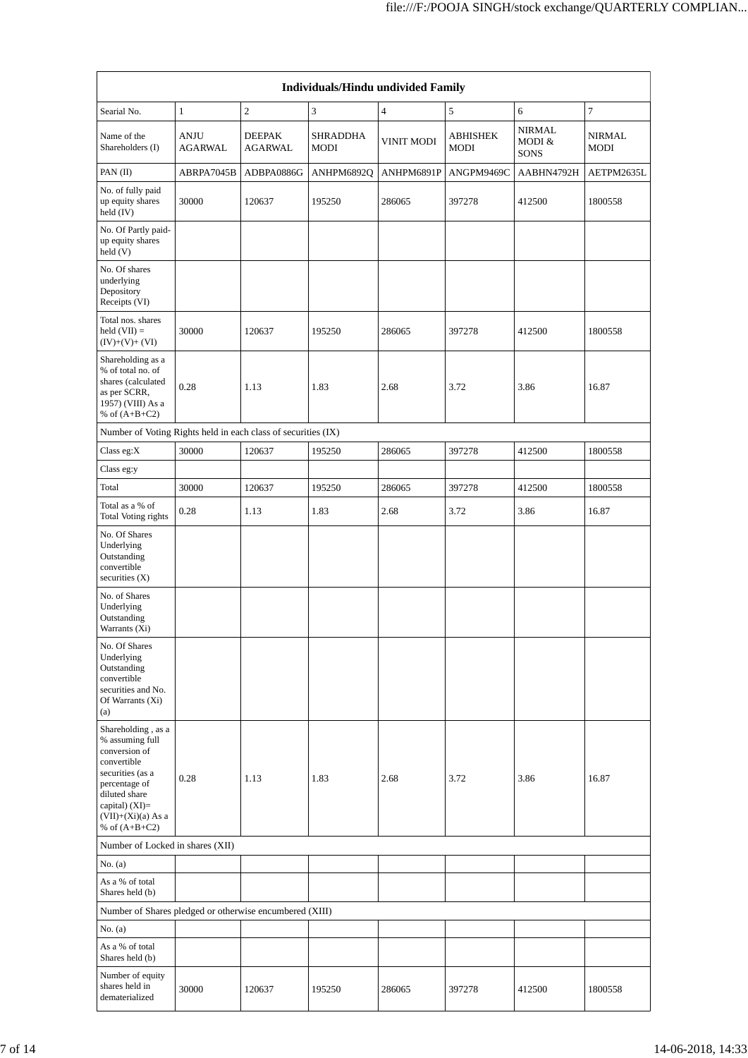| Individuals/Hindu undivided Family                                                                                                                                                       |                               |                                 |                  |                   |                         |                                        |                              |  |
|------------------------------------------------------------------------------------------------------------------------------------------------------------------------------------------|-------------------------------|---------------------------------|------------------|-------------------|-------------------------|----------------------------------------|------------------------------|--|
| Searial No.                                                                                                                                                                              | $\mathbf{1}$                  | $\overline{c}$                  | 3                | $\overline{4}$    | 5                       | 6                                      | 7                            |  |
| Name of the<br>Shareholders (I)                                                                                                                                                          | <b>ANJU</b><br><b>AGARWAL</b> | <b>DEEPAK</b><br><b>AGARWAL</b> | SHRADDHA<br>MODI | <b>VINIT MODI</b> | <b>ABHISHEK</b><br>MODI | <b>NIRMAL</b><br>MODI &<br><b>SONS</b> | <b>NIRMAL</b><br><b>MODI</b> |  |
| PAN (II)                                                                                                                                                                                 | ABRPA7045B                    | ADBPA0886G                      | ANHPM6892Q       | ANHPM6891P        | ANGPM9469C              | AABHN4792H                             | AETPM2635L                   |  |
| No. of fully paid<br>up equity shares<br>held (IV)                                                                                                                                       | 30000                         | 120637                          | 195250           | 286065            | 397278                  | 412500                                 | 1800558                      |  |
| No. Of Partly paid-<br>up equity shares<br>held(V)                                                                                                                                       |                               |                                 |                  |                   |                         |                                        |                              |  |
| No. Of shares<br>underlying<br>Depository<br>Receipts (VI)                                                                                                                               |                               |                                 |                  |                   |                         |                                        |                              |  |
| Total nos. shares<br>$held (VII) =$<br>$(IV)+(V)+(VI)$                                                                                                                                   | 30000                         | 120637                          | 195250           | 286065            | 397278                  | 412500                                 | 1800558                      |  |
| Shareholding as a<br>% of total no. of<br>shares (calculated<br>as per SCRR,<br>1957) (VIII) As a<br>% of $(A+B+C2)$                                                                     | 0.28                          | 1.13                            | 1.83             | 2.68              | 3.72                    | 3.86                                   | 16.87                        |  |
| Number of Voting Rights held in each class of securities (IX)                                                                                                                            |                               |                                 |                  |                   |                         |                                        |                              |  |
| Class eg:X                                                                                                                                                                               | 30000                         | 120637                          | 195250           | 286065            | 397278                  | 412500                                 | 1800558                      |  |
| Class eg:y                                                                                                                                                                               |                               |                                 |                  |                   |                         |                                        |                              |  |
| Total                                                                                                                                                                                    | 30000                         | 120637                          | 195250           | 286065            | 397278                  | 412500                                 | 1800558                      |  |
| Total as a % of<br>Total Voting rights                                                                                                                                                   | 0.28                          | 1.13                            | 1.83             | 2.68              | 3.72                    | 3.86                                   | 16.87                        |  |
| No. Of Shares<br>Underlying<br>Outstanding<br>convertible<br>securities (X)                                                                                                              |                               |                                 |                  |                   |                         |                                        |                              |  |
| No. of Shares<br>Underlying<br>Outstanding<br>Warrants (Xi)                                                                                                                              |                               |                                 |                  |                   |                         |                                        |                              |  |
| No. Of Shares<br>Underlying<br>Outstanding<br>convertible<br>securities and No.<br>Of Warrants (Xi)<br>(a)                                                                               |                               |                                 |                  |                   |                         |                                        |                              |  |
| Shareholding, as a<br>% assuming full<br>conversion of<br>convertible<br>securities (as a<br>percentage of<br>diluted share<br>capital) (XI)=<br>$(VII)+(Xi)(a)$ As a<br>% of $(A+B+C2)$ | 0.28                          | 1.13                            | 1.83             | 2.68              | 3.72                    | 3.86                                   | 16.87                        |  |
| Number of Locked in shares (XII)                                                                                                                                                         |                               |                                 |                  |                   |                         |                                        |                              |  |
| No. (a)                                                                                                                                                                                  |                               |                                 |                  |                   |                         |                                        |                              |  |
| As a % of total<br>Shares held (b)                                                                                                                                                       |                               |                                 |                  |                   |                         |                                        |                              |  |
| Number of Shares pledged or otherwise encumbered (XIII)                                                                                                                                  |                               |                                 |                  |                   |                         |                                        |                              |  |
| No. (a)                                                                                                                                                                                  |                               |                                 |                  |                   |                         |                                        |                              |  |
| As a % of total<br>Shares held (b)                                                                                                                                                       |                               |                                 |                  |                   |                         |                                        |                              |  |
| Number of equity<br>shares held in<br>dematerialized                                                                                                                                     | 30000                         | 120637                          | 195250           | 286065            | 397278                  | 412500                                 | 1800558                      |  |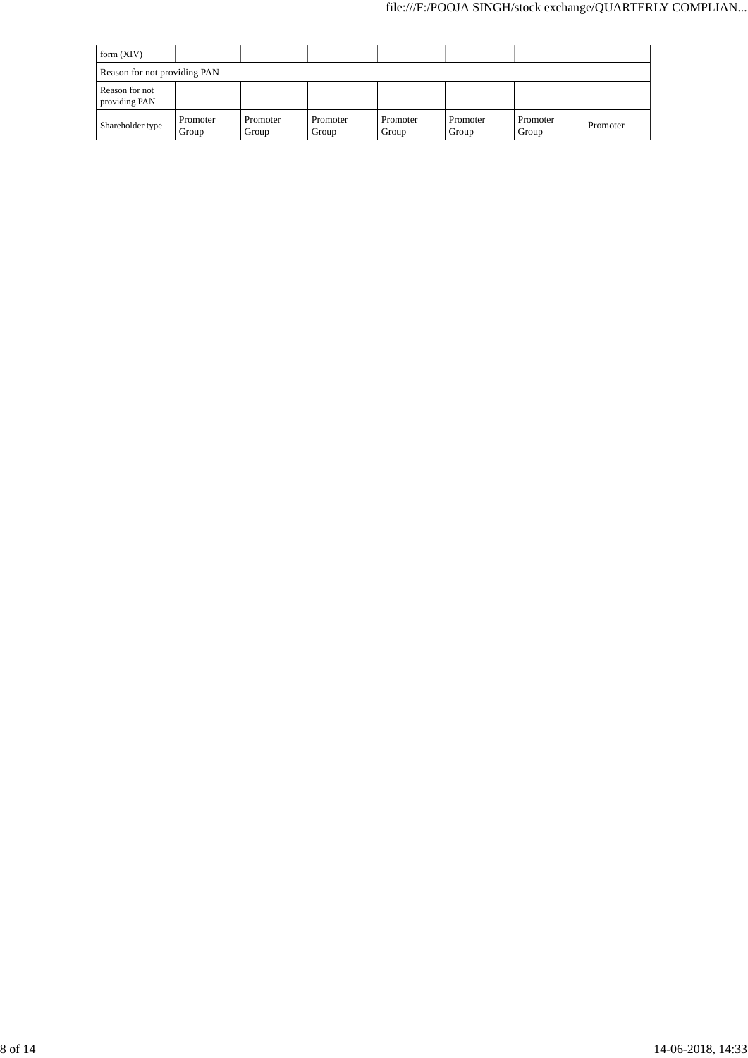| form $(XIV)$                    |                   |                   |                   |                   |                   |                   |          |  |
|---------------------------------|-------------------|-------------------|-------------------|-------------------|-------------------|-------------------|----------|--|
| Reason for not providing PAN    |                   |                   |                   |                   |                   |                   |          |  |
| Reason for not<br>providing PAN |                   |                   |                   |                   |                   |                   |          |  |
| Shareholder type                | Promoter<br>Group | Promoter<br>Group | Promoter<br>Group | Promoter<br>Group | Promoter<br>Group | Promoter<br>Group | Promoter |  |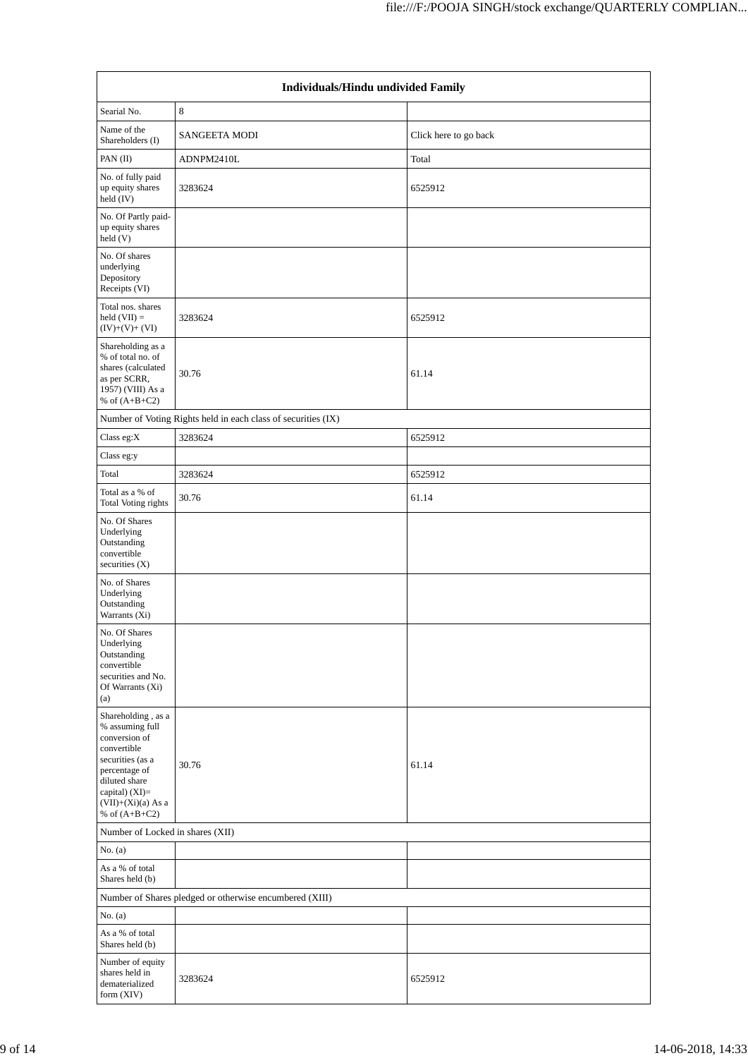| Individuals/Hindu undivided Family                                                                                                                                                         |                                                               |                       |  |  |  |  |  |
|--------------------------------------------------------------------------------------------------------------------------------------------------------------------------------------------|---------------------------------------------------------------|-----------------------|--|--|--|--|--|
| Searial No.                                                                                                                                                                                | $\,8\,$                                                       |                       |  |  |  |  |  |
| Name of the<br>Shareholders (I)                                                                                                                                                            | <b>SANGEETA MODI</b>                                          | Click here to go back |  |  |  |  |  |
| PAN $(II)$                                                                                                                                                                                 | ADNPM2410L                                                    | Total                 |  |  |  |  |  |
| No. of fully paid<br>up equity shares<br>held (IV)                                                                                                                                         | 3283624                                                       | 6525912               |  |  |  |  |  |
| No. Of Partly paid-<br>up equity shares<br>held $(V)$                                                                                                                                      |                                                               |                       |  |  |  |  |  |
| No. Of shares<br>underlying<br>Depository<br>Receipts (VI)                                                                                                                                 |                                                               |                       |  |  |  |  |  |
| Total nos. shares<br>held $(VII) =$<br>$(IV)+(V)+(VI)$                                                                                                                                     | 3283624                                                       | 6525912               |  |  |  |  |  |
| Shareholding as a<br>% of total no. of<br>shares (calculated<br>as per SCRR,<br>1957) (VIII) As a<br>% of $(A+B+C2)$                                                                       | 30.76                                                         | 61.14                 |  |  |  |  |  |
|                                                                                                                                                                                            | Number of Voting Rights held in each class of securities (IX) |                       |  |  |  |  |  |
| Class eg:X                                                                                                                                                                                 | 3283624                                                       | 6525912               |  |  |  |  |  |
| Class eg:y                                                                                                                                                                                 |                                                               |                       |  |  |  |  |  |
| Total                                                                                                                                                                                      | 3283624                                                       | 6525912               |  |  |  |  |  |
| Total as a % of<br>Total Voting rights                                                                                                                                                     | 30.76                                                         | 61.14                 |  |  |  |  |  |
| No. Of Shares<br>Underlying<br>Outstanding<br>convertible<br>securities $(X)$                                                                                                              |                                                               |                       |  |  |  |  |  |
| No. of Shares<br>Underlying<br>Outstanding<br>Warrants (Xi)                                                                                                                                |                                                               |                       |  |  |  |  |  |
| No. Of Shares<br>Underlying<br>Outstanding<br>convertible<br>securities and No.<br>Of Warrants (Xi)<br>(a)                                                                                 |                                                               |                       |  |  |  |  |  |
| Shareholding, as a<br>% assuming full<br>conversion of<br>convertible<br>securities (as a<br>percentage of<br>diluted share<br>capital) $(XI)=$<br>$(VII)+(Xi)(a)$ As a<br>% of $(A+B+C2)$ | 30.76                                                         | 61.14                 |  |  |  |  |  |
| Number of Locked in shares (XII)                                                                                                                                                           |                                                               |                       |  |  |  |  |  |
| No. $(a)$                                                                                                                                                                                  |                                                               |                       |  |  |  |  |  |
| As a % of total<br>Shares held (b)                                                                                                                                                         |                                                               |                       |  |  |  |  |  |
|                                                                                                                                                                                            | Number of Shares pledged or otherwise encumbered (XIII)       |                       |  |  |  |  |  |
| No. $(a)$                                                                                                                                                                                  |                                                               |                       |  |  |  |  |  |
| As a % of total<br>Shares held (b)                                                                                                                                                         |                                                               |                       |  |  |  |  |  |
| Number of equity<br>shares held in<br>dematerialized<br>form (XIV)                                                                                                                         | 3283624                                                       | 6525912               |  |  |  |  |  |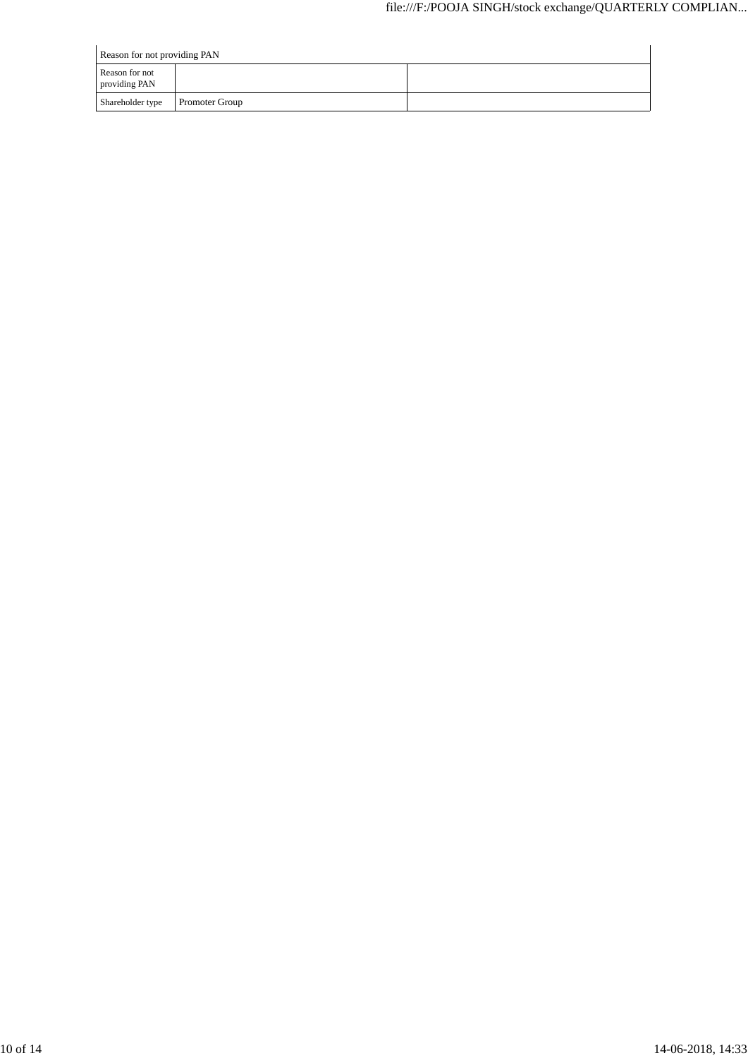|                                 | Reason for not providing PAN |  |  |  |  |  |
|---------------------------------|------------------------------|--|--|--|--|--|
| Reason for not<br>providing PAN |                              |  |  |  |  |  |
| Shareholder type                | <b>Promoter Group</b>        |  |  |  |  |  |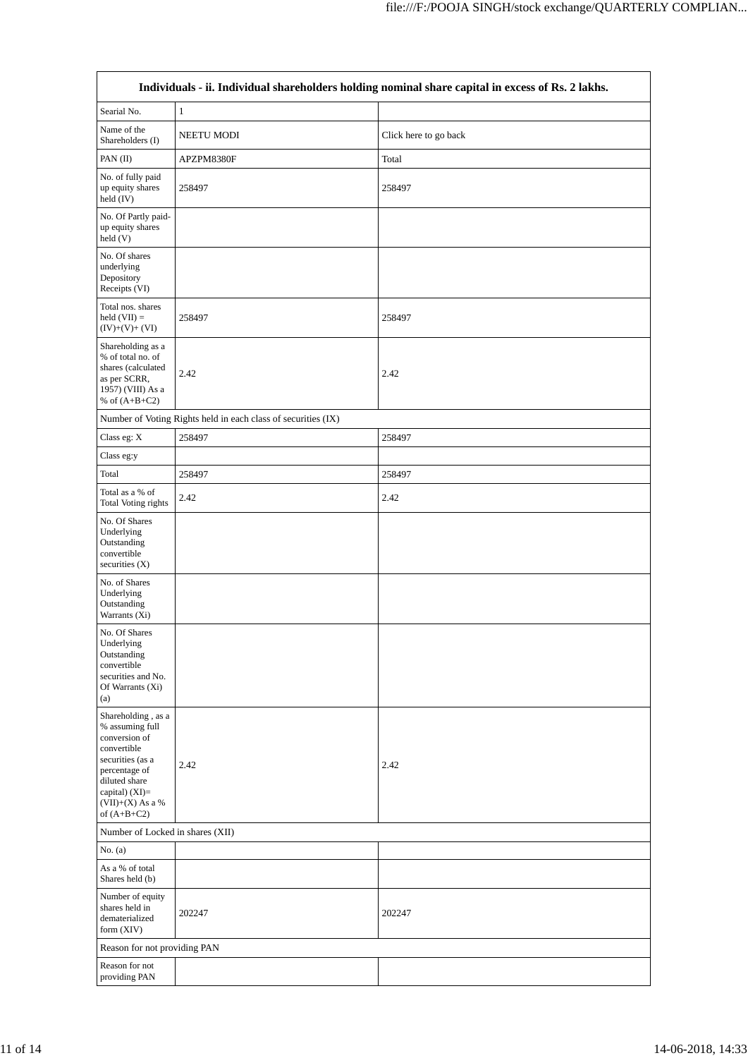|                                                                                                                                                                                           | Individuals - ii. Individual shareholders holding nominal share capital in excess of Rs. 2 lakhs. |                       |  |  |  |  |  |  |
|-------------------------------------------------------------------------------------------------------------------------------------------------------------------------------------------|---------------------------------------------------------------------------------------------------|-----------------------|--|--|--|--|--|--|
| Searial No.                                                                                                                                                                               | $\mathbf{1}$                                                                                      |                       |  |  |  |  |  |  |
| Name of the<br>Shareholders (I)                                                                                                                                                           | NEETU MODI                                                                                        | Click here to go back |  |  |  |  |  |  |
| PAN (II)                                                                                                                                                                                  | APZPM8380F                                                                                        | Total                 |  |  |  |  |  |  |
| No. of fully paid<br>up equity shares<br>held (IV)                                                                                                                                        | 258497                                                                                            | 258497                |  |  |  |  |  |  |
| No. Of Partly paid-<br>up equity shares<br>held(V)                                                                                                                                        |                                                                                                   |                       |  |  |  |  |  |  |
| No. Of shares<br>underlying<br>Depository<br>Receipts (VI)                                                                                                                                |                                                                                                   |                       |  |  |  |  |  |  |
| Total nos. shares<br>$held (VII) =$<br>$(IV)+(V)+(VI)$                                                                                                                                    | 258497                                                                                            | 258497                |  |  |  |  |  |  |
| Shareholding as a<br>% of total no. of<br>shares (calculated<br>as per SCRR,<br>1957) (VIII) As a<br>% of $(A+B+C2)$                                                                      | 2.42                                                                                              | 2.42                  |  |  |  |  |  |  |
|                                                                                                                                                                                           | Number of Voting Rights held in each class of securities (IX)                                     |                       |  |  |  |  |  |  |
| Class eg: X                                                                                                                                                                               | 258497                                                                                            | 258497                |  |  |  |  |  |  |
| Class eg:y                                                                                                                                                                                |                                                                                                   |                       |  |  |  |  |  |  |
| Total                                                                                                                                                                                     | 258497                                                                                            | 258497                |  |  |  |  |  |  |
| Total as a % of<br><b>Total Voting rights</b>                                                                                                                                             | 2.42                                                                                              | 2.42                  |  |  |  |  |  |  |
| No. Of Shares<br>Underlying<br>Outstanding<br>convertible<br>securities (X)                                                                                                               |                                                                                                   |                       |  |  |  |  |  |  |
| No. of Shares<br>Underlying<br>Outstanding<br>Warrants (Xi)                                                                                                                               |                                                                                                   |                       |  |  |  |  |  |  |
| No. Of Shares<br>Underlying<br>Outstanding<br>convertible<br>securities and No.<br>Of Warrants (Xi)<br>(a)                                                                                |                                                                                                   |                       |  |  |  |  |  |  |
| Shareholding, as a<br>% assuming full<br>conversion of<br>convertible<br>securities (as a<br>percentage of<br>diluted share<br>capital) $(XI)=$<br>$(VII)+(X)$ As a $\%$<br>of $(A+B+C2)$ | 2.42                                                                                              | 2.42                  |  |  |  |  |  |  |
| Number of Locked in shares (XII)                                                                                                                                                          |                                                                                                   |                       |  |  |  |  |  |  |
| No. $(a)$                                                                                                                                                                                 |                                                                                                   |                       |  |  |  |  |  |  |
| As a % of total<br>Shares held (b)                                                                                                                                                        |                                                                                                   |                       |  |  |  |  |  |  |
| Number of equity<br>shares held in<br>dematerialized<br>form (XIV)                                                                                                                        | 202247                                                                                            | 202247                |  |  |  |  |  |  |
| Reason for not providing PAN                                                                                                                                                              |                                                                                                   |                       |  |  |  |  |  |  |
| Reason for not<br>providing PAN                                                                                                                                                           |                                                                                                   |                       |  |  |  |  |  |  |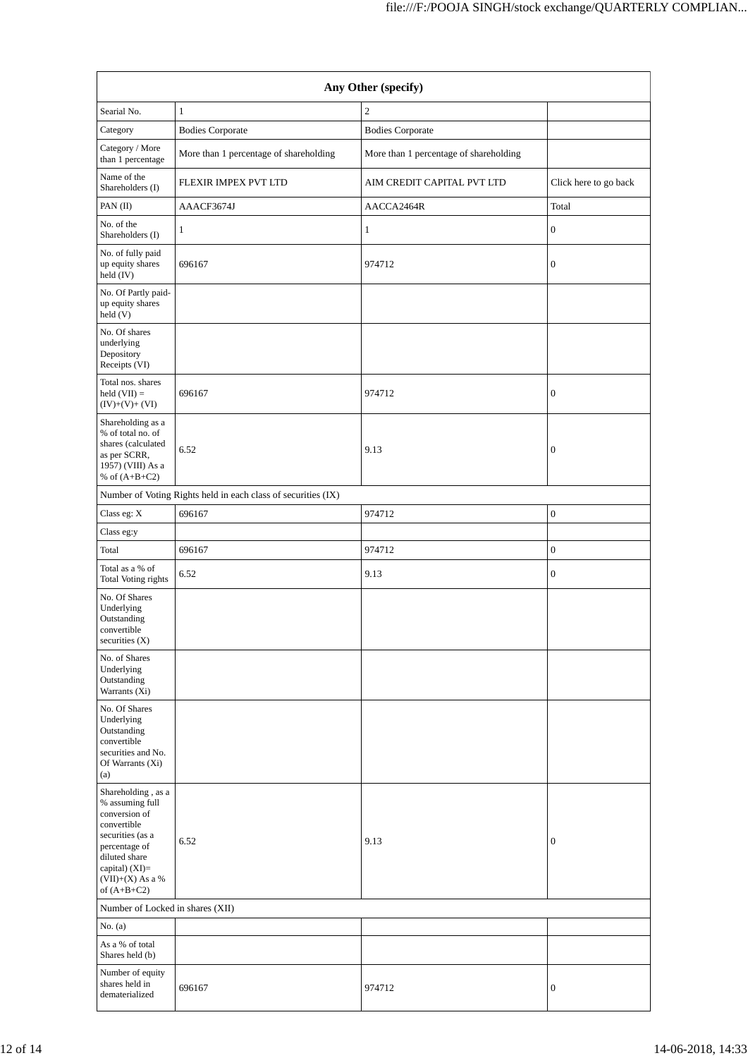| Any Other (specify)                                                                                                                                                                    |                                                               |                                        |                       |  |  |  |  |
|----------------------------------------------------------------------------------------------------------------------------------------------------------------------------------------|---------------------------------------------------------------|----------------------------------------|-----------------------|--|--|--|--|
| Searial No.                                                                                                                                                                            | $\mathbf{1}$                                                  | $\overline{c}$                         |                       |  |  |  |  |
| Category                                                                                                                                                                               | <b>Bodies Corporate</b>                                       | <b>Bodies Corporate</b>                |                       |  |  |  |  |
| Category / More<br>than 1 percentage                                                                                                                                                   | More than 1 percentage of shareholding                        | More than 1 percentage of shareholding |                       |  |  |  |  |
| Name of the<br>Shareholders (I)                                                                                                                                                        | FLEXIR IMPEX PVT LTD                                          | AIM CREDIT CAPITAL PVT LTD             | Click here to go back |  |  |  |  |
| PAN (II)                                                                                                                                                                               | AAACF3674J                                                    | AACCA2464R                             | Total                 |  |  |  |  |
| No. of the<br>Shareholders (I)                                                                                                                                                         | 1                                                             | 1                                      | $\boldsymbol{0}$      |  |  |  |  |
| No. of fully paid<br>up equity shares<br>held (IV)                                                                                                                                     | 696167                                                        | 974712                                 | $\mathbf{0}$          |  |  |  |  |
| No. Of Partly paid-<br>up equity shares<br>held(V)                                                                                                                                     |                                                               |                                        |                       |  |  |  |  |
| No. Of shares<br>underlying<br>Depository<br>Receipts (VI)                                                                                                                             |                                                               |                                        |                       |  |  |  |  |
| Total nos. shares<br>held $(VII) =$<br>$(IV)+(V)+(VI)$                                                                                                                                 | 696167                                                        | 974712                                 | $\boldsymbol{0}$      |  |  |  |  |
| Shareholding as a<br>% of total no. of<br>shares (calculated<br>as per SCRR,<br>1957) (VIII) As a<br>% of $(A+B+C2)$                                                                   | 6.52                                                          | 9.13                                   | $\boldsymbol{0}$      |  |  |  |  |
|                                                                                                                                                                                        | Number of Voting Rights held in each class of securities (IX) |                                        |                       |  |  |  |  |
| Class eg: X                                                                                                                                                                            | 696167                                                        | 974712                                 | $\boldsymbol{0}$      |  |  |  |  |
| Class eg:y                                                                                                                                                                             |                                                               |                                        |                       |  |  |  |  |
| Total                                                                                                                                                                                  | 696167                                                        | 974712                                 | $\mathbf{0}$          |  |  |  |  |
| Total as a % of<br>Total Voting rights                                                                                                                                                 | 6.52                                                          | 9.13                                   | $\boldsymbol{0}$      |  |  |  |  |
| No. Of Shares<br>Underlying<br>Outstanding<br>convertible<br>securities $(X)$                                                                                                          |                                                               |                                        |                       |  |  |  |  |
| No. of Shares<br>Underlying<br>Outstanding<br>Warrants (Xi)                                                                                                                            |                                                               |                                        |                       |  |  |  |  |
| No. Of Shares<br>Underlying<br>Outstanding<br>convertible<br>securities and No.<br>Of Warrants (Xi)<br>(a)                                                                             |                                                               |                                        |                       |  |  |  |  |
| Shareholding, as a<br>% assuming full<br>conversion of<br>convertible<br>securities (as a<br>percentage of<br>diluted share<br>capital) $(XI)=$<br>$(VII)+(X)$ As a %<br>of $(A+B+C2)$ | 6.52                                                          | 9.13                                   | $\boldsymbol{0}$      |  |  |  |  |
| Number of Locked in shares (XII)                                                                                                                                                       |                                                               |                                        |                       |  |  |  |  |
| No. $(a)$<br>As a % of total                                                                                                                                                           |                                                               |                                        |                       |  |  |  |  |
| Shares held (b)<br>Number of equity<br>shares held in<br>dematerialized                                                                                                                | 696167                                                        | 974712                                 | $\mathbf{0}$          |  |  |  |  |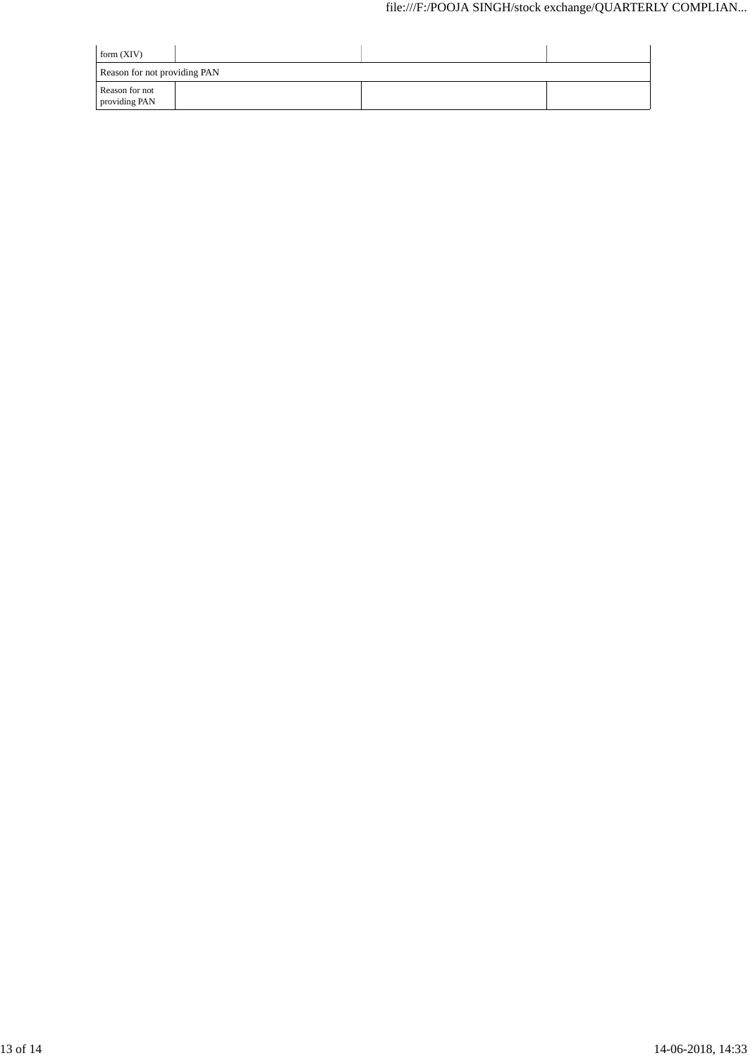| form $(XIV)$                    |  |  |  |
|---------------------------------|--|--|--|
| Reason for not providing PAN    |  |  |  |
| Reason for not<br>providing PAN |  |  |  |